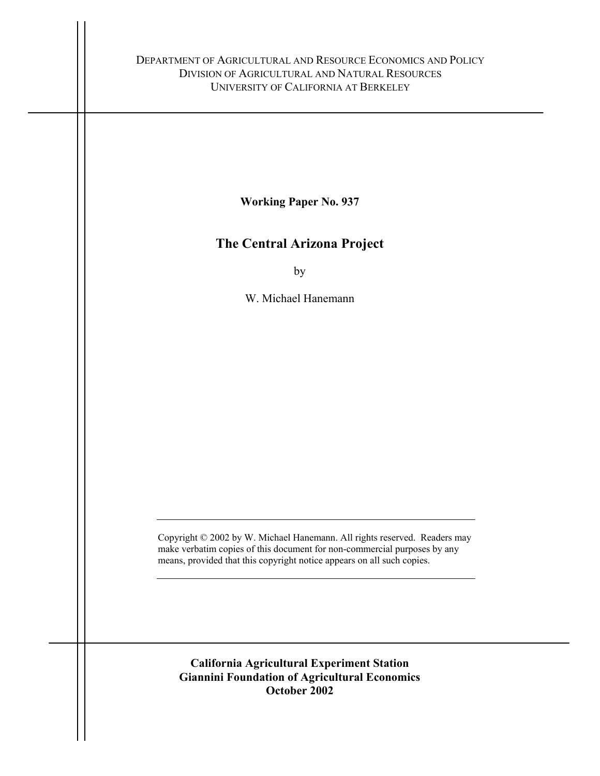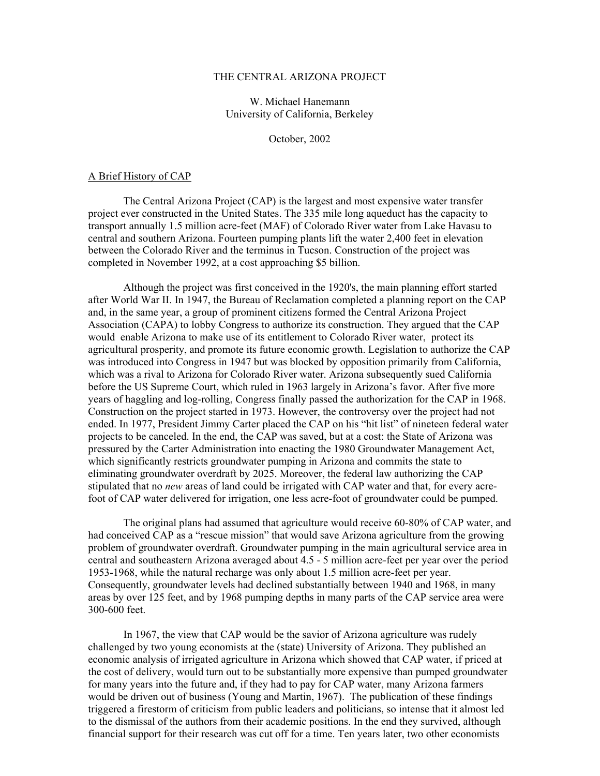#### THE CENTRAL ARIZONA PROJECT

# W. Michael Hanemann University of California, Berkeley

October, 2002

### A Brief History of CAP

 The Central Arizona Project (CAP) is the largest and most expensive water transfer project ever constructed in the United States. The 335 mile long aqueduct has the capacity to transport annually 1.5 million acre-feet (MAF) of Colorado River water from Lake Havasu to central and southern Arizona. Fourteen pumping plants lift the water 2,400 feet in elevation between the Colorado River and the terminus in Tucson. Construction of the project was completed in November 1992, at a cost approaching \$5 billion.

 Although the project was first conceived in the 1920's, the main planning effort started after World War II. In 1947, the Bureau of Reclamation completed a planning report on the CAP and, in the same year, a group of prominent citizens formed the Central Arizona Project Association (CAPA) to lobby Congress to authorize its construction. They argued that the CAP would enable Arizona to make use of its entitlement to Colorado River water, protect its agricultural prosperity, and promote its future economic growth. Legislation to authorize the CAP was introduced into Congress in 1947 but was blocked by opposition primarily from California, which was a rival to Arizona for Colorado River water. Arizona subsequently sued California before the US Supreme Court, which ruled in 1963 largely in Arizona's favor. After five more years of haggling and log-rolling, Congress finally passed the authorization for the CAP in 1968. Construction on the project started in 1973. However, the controversy over the project had not ended. In 1977, President Jimmy Carter placed the CAP on his "hit list" of nineteen federal water projects to be canceled. In the end, the CAP was saved, but at a cost: the State of Arizona was pressured by the Carter Administration into enacting the 1980 Groundwater Management Act, which significantly restricts groundwater pumping in Arizona and commits the state to eliminating groundwater overdraft by 2025. Moreover, the federal law authorizing the CAP stipulated that no *new* areas of land could be irrigated with CAP water and that, for every acrefoot of CAP water delivered for irrigation, one less acre-foot of groundwater could be pumped.

 The original plans had assumed that agriculture would receive 60-80% of CAP water, and had conceived CAP as a "rescue mission" that would save Arizona agriculture from the growing problem of groundwater overdraft. Groundwater pumping in the main agricultural service area in central and southeastern Arizona averaged about 4.5 - 5 million acre-feet per year over the period 1953-1968, while the natural recharge was only about 1.5 million acre-feet per year. Consequently, groundwater levels had declined substantially between 1940 and 1968, in many areas by over 125 feet, and by 1968 pumping depths in many parts of the CAP service area were 300-600 feet.

 In 1967, the view that CAP would be the savior of Arizona agriculture was rudely challenged by two young economists at the (state) University of Arizona. They published an economic analysis of irrigated agriculture in Arizona which showed that CAP water, if priced at the cost of delivery, would turn out to be substantially more expensive than pumped groundwater for many years into the future and, if they had to pay for CAP water, many Arizona farmers would be driven out of business (Young and Martin, 1967). The publication of these findings triggered a firestorm of criticism from public leaders and politicians, so intense that it almost led to the dismissal of the authors from their academic positions. In the end they survived, although financial support for their research was cut off for a time. Ten years later, two other economists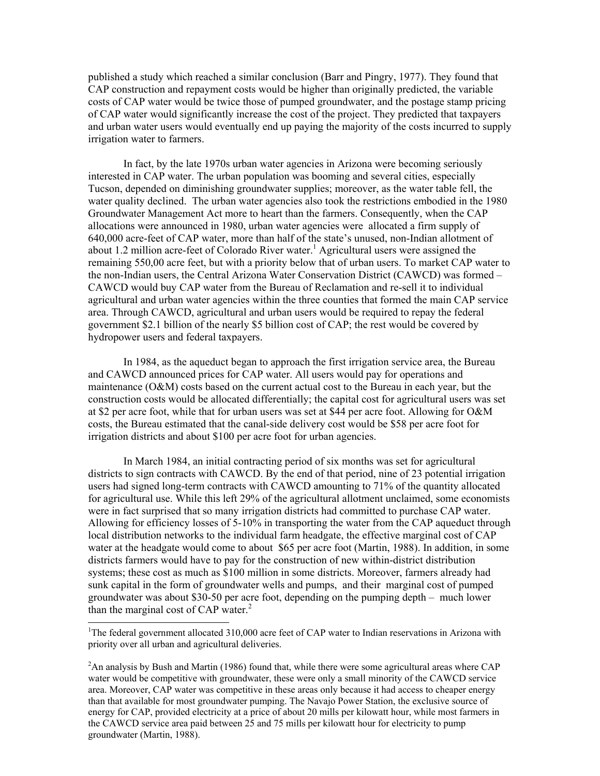published a study which reached a similar conclusion (Barr and Pingry, 1977). They found that CAP construction and repayment costs would be higher than originally predicted, the variable costs of CAP water would be twice those of pumped groundwater, and the postage stamp pricing of CAP water would significantly increase the cost of the project. They predicted that taxpayers and urban water users would eventually end up paying the majority of the costs incurred to supply irrigation water to farmers.

 In fact, by the late 1970s urban water agencies in Arizona were becoming seriously interested in CAP water. The urban population was booming and several cities, especially Tucson, depended on diminishing groundwater supplies; moreover, as the water table fell, the water quality declined. The urban water agencies also took the restrictions embodied in the 1980 Groundwater Management Act more to heart than the farmers. Consequently, when the CAP allocations were announced in 1980, urban water agencies were allocated a firm supply of 640,000 acre-feet of CAP water, more than half of the state's unused, non-Indian allotment of about [1](#page-2-0).2 million acre-feet of Colorado River water.<sup>1</sup> Agricultural users were assigned the remaining 550,00 acre feet, but with a priority below that of urban users. To market CAP water to the non-Indian users, the Central Arizona Water Conservation District (CAWCD) was formed – CAWCD would buy CAP water from the Bureau of Reclamation and re-sell it to individual agricultural and urban water agencies within the three counties that formed the main CAP service area. Through CAWCD, agricultural and urban users would be required to repay the federal government \$2.1 billion of the nearly \$5 billion cost of CAP; the rest would be covered by hydropower users and federal taxpayers.

 In 1984, as the aqueduct began to approach the first irrigation service area, the Bureau and CAWCD announced prices for CAP water. All users would pay for operations and maintenance (O&M) costs based on the current actual cost to the Bureau in each year, but the construction costs would be allocated differentially; the capital cost for agricultural users was set at \$2 per acre foot, while that for urban users was set at \$44 per acre foot. Allowing for O&M costs, the Bureau estimated that the canal-side delivery cost would be \$58 per acre foot for irrigation districts and about \$100 per acre foot for urban agencies.

 In March 1984, an initial contracting period of six months was set for agricultural districts to sign contracts with CAWCD. By the end of that period, nine of 23 potential irrigation users had signed long-term contracts with CAWCD amounting to 71% of the quantity allocated for agricultural use. While this left 29% of the agricultural allotment unclaimed, some economists were in fact surprised that so many irrigation districts had committed to purchase CAP water. Allowing for efficiency losses of 5-10% in transporting the water from the CAP aqueduct through local distribution networks to the individual farm headgate, the effective marginal cost of CAP water at the headgate would come to about \$65 per acre foot (Martin, 1988). In addition, in some districts farmers would have to pay for the construction of new within-district distribution systems; these cost as much as \$100 million in some districts. Moreover, farmers already had sunk capital in the form of groundwater wells and pumps, and their marginal cost of pumped groundwater was about \$30-50 per acre foot, depending on the pumping depth – much lower than the marginal cost of CAP water.<sup>[2](#page-2-1)</sup>

 $\overline{a}$ 

<span id="page-2-0"></span><sup>&</sup>lt;sup>1</sup>The federal government allocated 310,000 acre feet of CAP water to Indian reservations in Arizona with priority over all urban and agricultural deliveries.

<span id="page-2-1"></span> $2$ An analysis by Bush and Martin (1986) found that, while there were some agricultural areas where CAP water would be competitive with groundwater, these were only a small minority of the CAWCD service area. Moreover, CAP water was competitive in these areas only because it had access to cheaper energy than that available for most groundwater pumping. The Navajo Power Station, the exclusive source of energy for CAP, provided electricity at a price of about 20 mills per kilowatt hour, while most farmers in the CAWCD service area paid between 25 and 75 mills per kilowatt hour for electricity to pump groundwater (Martin, 1988).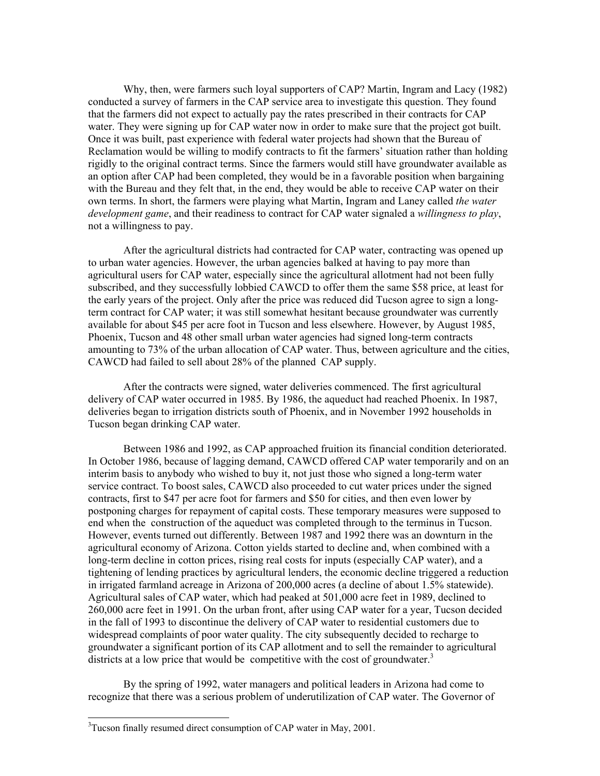Why, then, were farmers such loyal supporters of CAP? Martin, Ingram and Lacy (1982) conducted a survey of farmers in the CAP service area to investigate this question. They found that the farmers did not expect to actually pay the rates prescribed in their contracts for CAP water. They were signing up for CAP water now in order to make sure that the project got built. Once it was built, past experience with federal water projects had shown that the Bureau of Reclamation would be willing to modify contracts to fit the farmers' situation rather than holding rigidly to the original contract terms. Since the farmers would still have groundwater available as an option after CAP had been completed, they would be in a favorable position when bargaining with the Bureau and they felt that, in the end, they would be able to receive CAP water on their own terms. In short, the farmers were playing what Martin, Ingram and Laney called *the water development game*, and their readiness to contract for CAP water signaled a *willingness to play*, not a willingness to pay.

 After the agricultural districts had contracted for CAP water, contracting was opened up to urban water agencies. However, the urban agencies balked at having to pay more than agricultural users for CAP water, especially since the agricultural allotment had not been fully subscribed, and they successfully lobbied CAWCD to offer them the same \$58 price, at least for the early years of the project. Only after the price was reduced did Tucson agree to sign a longterm contract for CAP water; it was still somewhat hesitant because groundwater was currently available for about \$45 per acre foot in Tucson and less elsewhere. However, by August 1985, Phoenix, Tucson and 48 other small urban water agencies had signed long-term contracts amounting to 73% of the urban allocation of CAP water. Thus, between agriculture and the cities, CAWCD had failed to sell about 28% of the planned CAP supply.

 After the contracts were signed, water deliveries commenced. The first agricultural delivery of CAP water occurred in 1985. By 1986, the aqueduct had reached Phoenix. In 1987, deliveries began to irrigation districts south of Phoenix, and in November 1992 households in Tucson began drinking CAP water.

 Between 1986 and 1992, as CAP approached fruition its financial condition deteriorated. In October 1986, because of lagging demand, CAWCD offered CAP water temporarily and on an interim basis to anybody who wished to buy it, not just those who signed a long-term water service contract. To boost sales, CAWCD also proceeded to cut water prices under the signed contracts, first to \$47 per acre foot for farmers and \$50 for cities, and then even lower by postponing charges for repayment of capital costs. These temporary measures were supposed to end when the construction of the aqueduct was completed through to the terminus in Tucson. However, events turned out differently. Between 1987 and 1992 there was an downturn in the agricultural economy of Arizona. Cotton yields started to decline and, when combined with a long-term decline in cotton prices, rising real costs for inputs (especially CAP water), and a tightening of lending practices by agricultural lenders, the economic decline triggered a reduction in irrigated farmland acreage in Arizona of 200,000 acres (a decline of about 1.5% statewide). Agricultural sales of CAP water, which had peaked at 501,000 acre feet in 1989, declined to 260,000 acre feet in 1991. On the urban front, after using CAP water for a year, Tucson decided in the fall of 1993 to discontinue the delivery of CAP water to residential customers due to widespread complaints of poor water quality. The city subsequently decided to recharge to groundwater a significant portion of its CAP allotment and to sell the remainder to agricultural districts at a low price that would be competitive with the cost of groundwater.<sup>[3](#page-3-0)</sup>

 By the spring of 1992, water managers and political leaders in Arizona had come to recognize that there was a serious problem of underutilization of CAP water. The Governor of

 $\overline{a}$ 

<span id="page-3-0"></span> $3$ Tucson finally resumed direct consumption of CAP water in May, 2001.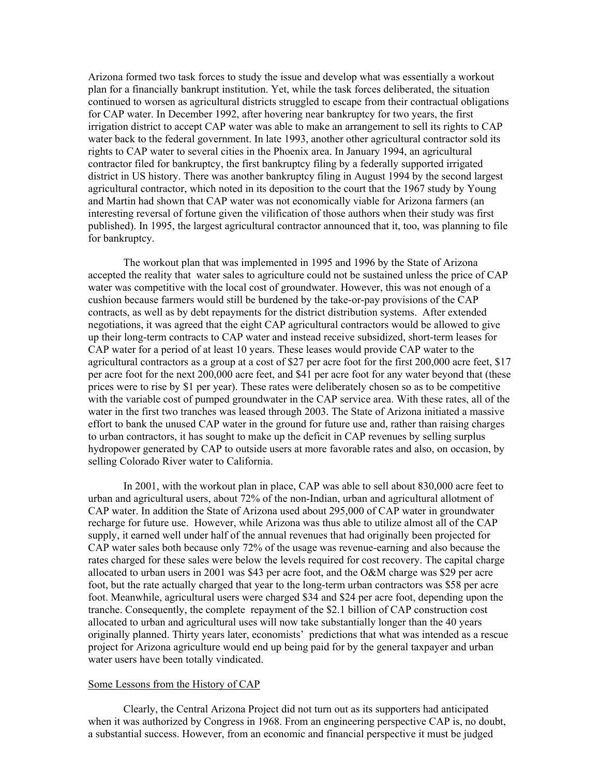Arizona formed two task forces to study the issue and develop what was essentially a workout plan for a financially bankrupt institution. Yet, while the task forces deliberated, the situation continued to worsen as agricultural districts struggled to escape from their contractual obligations for CAP water. In December 1992, after hovering near bankruptcy for two years, the first irrigation district to accept CAP water was able to make an arrangement to sell its rights to CAP water back to the federal government. In late 1993, another other agricultural contractor sold its rights to CAP water to several cities in the Phoenix area. In January 1994, an agricultural contractor filed for bankruptcy, the first bankruptcy filing by a federally supported irrigated district in US history. There was another bankruptcy filing in August 1994 by the second largest agricultural contractor, which noted in its deposition to the court that the 1967 study by Young and Martin had shown that CAP water was not economically viable for Arizona farmers (an interesting reversal of fortune given the vilification of those authors when their study was first published). In 1995, the largest agricultural contractor announced that it, too, was planning to file for bankruptcy.

 The workout plan that was implemented in 1995 and 1996 by the State of Arizona accepted the reality that water sales to agriculture could not be sustained unless the price of CAP water was competitive with the local cost of groundwater. However, this was not enough of a cushion because farmers would still be burdened by the take-or-pay provisions of the CAP contracts, as well as by debt repayments for the district distribution systems. After extended negotiations, it was agreed that the eight CAP agricultural contractors would be allowed to give up their long-term contracts to CAP water and instead receive subsidized, short-term leases for CAP water for a period of at least 10 years. These leases would provide CAP water to the agricultural contractors as a group at a cost of \$27 per acre foot for the first 200,000 acre feet, \$17 per acre foot for the next 200,000 acre feet, and \$41 per acre foot for any water beyond that (these prices were to rise by \$1 per year). These rates were deliberately chosen so as to be competitive with the variable cost of pumped groundwater in the CAP service area. With these rates, all of the water in the first two tranches was leased through 2003. The State of Arizona initiated a massive effort to bank the unused CAP water in the ground for future use and, rather than raising charges to urban contractors, it has sought to make up the deficit in CAP revenues by selling surplus hydropower generated by CAP to outside users at more favorable rates and also, on occasion, by selling Colorado River water to California.

 In 2001, with the workout plan in place, CAP was able to sell about 830,000 acre feet to urban and agricultural users, about 72% of the non-Indian, urban and agricultural allotment of CAP water. In addition the State of Arizona used about 295,000 of CAP water in groundwater recharge for future use. However, while Arizona was thus able to utilize almost all of the CAP supply, it earned well under half of the annual revenues that had originally been projected for CAP water sales both because only 72% of the usage was revenue-earning and also because the rates charged for these sales were below the levels required for cost recovery. The capital charge allocated to urban users in 2001 was \$43 per acre foot, and the O&M charge was \$29 per acre foot, but the rate actually charged that year to the long-term urban contractors was \$58 per acre foot. Meanwhile, agricultural users were charged \$34 and \$24 per acre foot, depending upon the tranche. Consequently, the complete repayment of the \$2.1 billion of CAP construction cost allocated to urban and agricultural uses will now take substantially longer than the 40 years originally planned. Thirty years later, economists' predictions that what was intended as a rescue project for Arizona agriculture would end up being paid for by the general taxpayer and urban water users have been totally vindicated.

## Some Lessons from the History of CAP

 Clearly, the Central Arizona Project did not turn out as its supporters had anticipated when it was authorized by Congress in 1968. From an engineering perspective CAP is, no doubt, a substantial success. However, from an economic and financial perspective it must be judged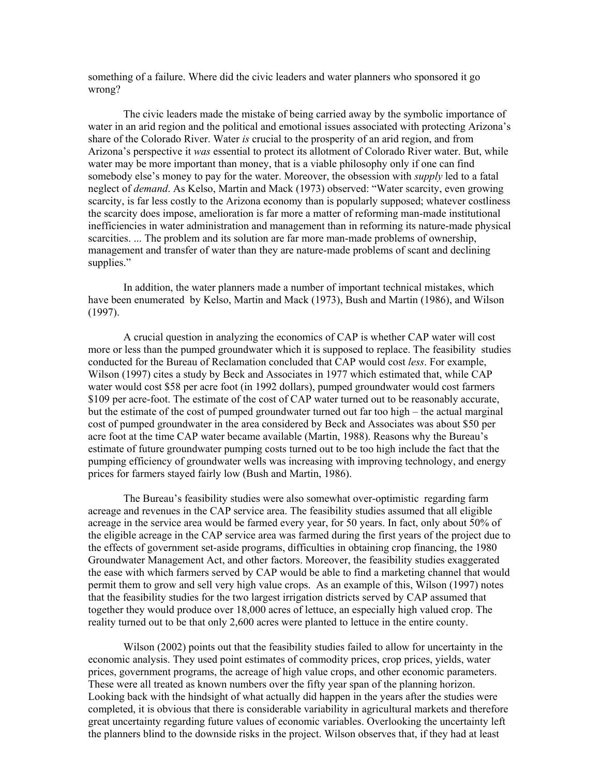something of a failure. Where did the civic leaders and water planners who sponsored it go wrong?

 The civic leaders made the mistake of being carried away by the symbolic importance of water in an arid region and the political and emotional issues associated with protecting Arizona's share of the Colorado River. Water *is* crucial to the prosperity of an arid region, and from Arizona's perspective it *was* essential to protect its allotment of Colorado River water. But, while water may be more important than money, that is a viable philosophy only if one can find somebody else's money to pay for the water. Moreover, the obsession with *supply* led to a fatal neglect of *demand*. As Kelso, Martin and Mack (1973) observed: "Water scarcity, even growing scarcity, is far less costly to the Arizona economy than is popularly supposed; whatever costliness the scarcity does impose, amelioration is far more a matter of reforming man-made institutional inefficiencies in water administration and management than in reforming its nature-made physical scarcities. ... The problem and its solution are far more man-made problems of ownership, management and transfer of water than they are nature-made problems of scant and declining supplies."

 In addition, the water planners made a number of important technical mistakes, which have been enumerated by Kelso, Martin and Mack (1973), Bush and Martin (1986), and Wilson (1997).

 A crucial question in analyzing the economics of CAP is whether CAP water will cost more or less than the pumped groundwater which it is supposed to replace. The feasibility studies conducted for the Bureau of Reclamation concluded that CAP would cost *less*. For example, Wilson (1997) cites a study by Beck and Associates in 1977 which estimated that, while CAP water would cost \$58 per acre foot (in 1992 dollars), pumped groundwater would cost farmers \$109 per acre-foot. The estimate of the cost of CAP water turned out to be reasonably accurate, but the estimate of the cost of pumped groundwater turned out far too high – the actual marginal cost of pumped groundwater in the area considered by Beck and Associates was about \$50 per acre foot at the time CAP water became available (Martin, 1988). Reasons why the Bureau's estimate of future groundwater pumping costs turned out to be too high include the fact that the pumping efficiency of groundwater wells was increasing with improving technology, and energy prices for farmers stayed fairly low (Bush and Martin, 1986).

 The Bureau's feasibility studies were also somewhat over-optimistic regarding farm acreage and revenues in the CAP service area. The feasibility studies assumed that all eligible acreage in the service area would be farmed every year, for 50 years. In fact, only about 50% of the eligible acreage in the CAP service area was farmed during the first years of the project due to the effects of government set-aside programs, difficulties in obtaining crop financing, the 1980 Groundwater Management Act, and other factors. Moreover, the feasibility studies exaggerated the ease with which farmers served by CAP would be able to find a marketing channel that would permit them to grow and sell very high value crops. As an example of this, Wilson (1997) notes that the feasibility studies for the two largest irrigation districts served by CAP assumed that together they would produce over 18,000 acres of lettuce, an especially high valued crop. The reality turned out to be that only 2,600 acres were planted to lettuce in the entire county.

 Wilson (2002) points out that the feasibility studies failed to allow for uncertainty in the economic analysis. They used point estimates of commodity prices, crop prices, yields, water prices, government programs, the acreage of high value crops, and other economic parameters. These were all treated as known numbers over the fifty year span of the planning horizon. Looking back with the hindsight of what actually did happen in the years after the studies were completed, it is obvious that there is considerable variability in agricultural markets and therefore great uncertainty regarding future values of economic variables. Overlooking the uncertainty left the planners blind to the downside risks in the project. Wilson observes that, if they had at least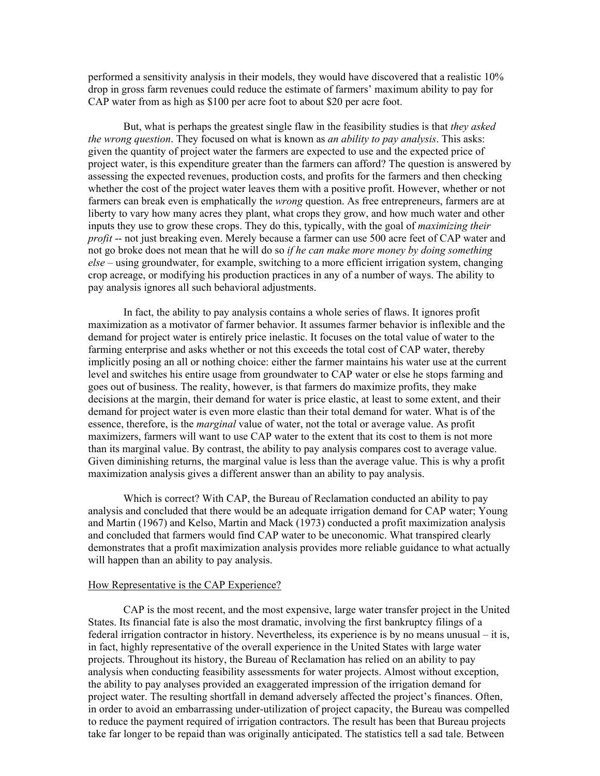performed a sensitivity analysis in their models, they would have discovered that a realistic 10% drop in gross farm revenues could reduce the estimate of farmers' maximum ability to pay for CAP water from as high as \$100 per acre foot to about \$20 per acre foot.

 But, what is perhaps the greatest single flaw in the feasibility studies is that *they asked the wrong question*. They focused on what is known as *an ability to pay analysis*. This asks: given the quantity of project water the farmers are expected to use and the expected price of project water, is this expenditure greater than the farmers can afford? The question is answered by assessing the expected revenues, production costs, and profits for the farmers and then checking whether the cost of the project water leaves them with a positive profit. However, whether or not farmers can break even is emphatically the *wrong* question. As free entrepreneurs, farmers are at liberty to vary how many acres they plant, what crops they grow, and how much water and other inputs they use to grow these crops. They do this, typically, with the goal of *maximizing their profit* -- not just breaking even. Merely because a farmer can use 500 acre feet of CAP water and not go broke does not mean that he will do so *if he can make more money by doing something else* – using groundwater, for example, switching to a more efficient irrigation system, changing crop acreage, or modifying his production practices in any of a number of ways. The ability to pay analysis ignores all such behavioral adjustments.

 In fact, the ability to pay analysis contains a whole series of flaws. It ignores profit maximization as a motivator of farmer behavior. It assumes farmer behavior is inflexible and the demand for project water is entirely price inelastic. It focuses on the total value of water to the farming enterprise and asks whether or not this exceeds the total cost of CAP water, thereby implicitly posing an all or nothing choice: either the farmer maintains his water use at the current level and switches his entire usage from groundwater to CAP water or else he stops farming and goes out of business. The reality, however, is that farmers do maximize profits, they make decisions at the margin, their demand for water is price elastic, at least to some extent, and their demand for project water is even more elastic than their total demand for water. What is of the essence, therefore, is the *marginal* value of water, not the total or average value. As profit maximizers, farmers will want to use CAP water to the extent that its cost to them is not more than its marginal value. By contrast, the ability to pay analysis compares cost to average value. Given diminishing returns, the marginal value is less than the average value. This is why a profit maximization analysis gives a different answer than an ability to pay analysis.

 Which is correct? With CAP, the Bureau of Reclamation conducted an ability to pay analysis and concluded that there would be an adequate irrigation demand for CAP water; Young and Martin (1967) and Kelso, Martin and Mack (1973) conducted a profit maximization analysis and concluded that farmers would find CAP water to be uneconomic. What transpired clearly demonstrates that a profit maximization analysis provides more reliable guidance to what actually will happen than an ability to pay analysis.

#### How Representative is the CAP Experience?

 CAP is the most recent, and the most expensive, large water transfer project in the United States. Its financial fate is also the most dramatic, involving the first bankruptcy filings of a federal irrigation contractor in history. Nevertheless, its experience is by no means unusual – it is, in fact, highly representative of the overall experience in the United States with large water projects. Throughout its history, the Bureau of Reclamation has relied on an ability to pay analysis when conducting feasibility assessments for water projects. Almost without exception, the ability to pay analyses provided an exaggerated impression of the irrigation demand for project water. The resulting shortfall in demand adversely affected the project's finances. Often, in order to avoid an embarrassing under-utilization of project capacity, the Bureau was compelled to reduce the payment required of irrigation contractors. The result has been that Bureau projects take far longer to be repaid than was originally anticipated. The statistics tell a sad tale. Between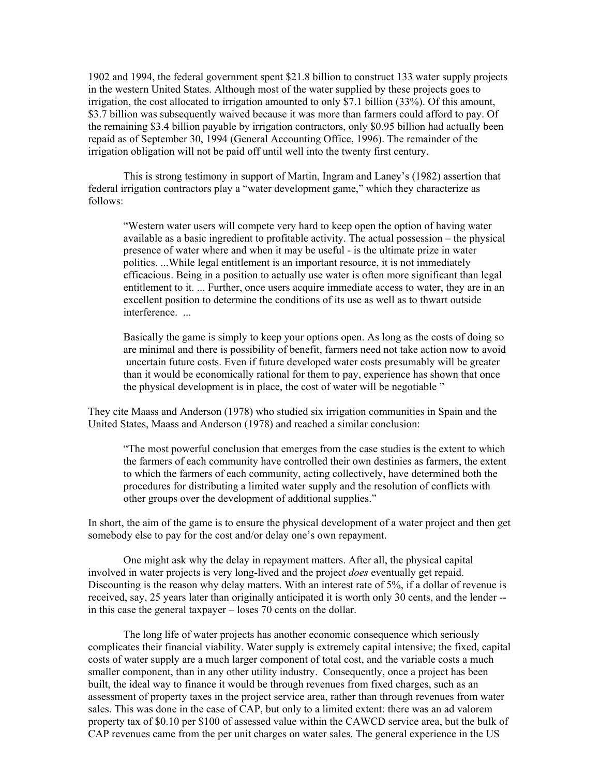1902 and 1994, the federal government spent \$21.8 billion to construct 133 water supply projects in the western United States. Although most of the water supplied by these projects goes to irrigation, the cost allocated to irrigation amounted to only \$7.1 billion (33%). Of this amount, \$3.7 billion was subsequently waived because it was more than farmers could afford to pay. Of the remaining \$3.4 billion payable by irrigation contractors, only \$0.95 billion had actually been repaid as of September 30, 1994 (General Accounting Office, 1996). The remainder of the irrigation obligation will not be paid off until well into the twenty first century.

 This is strong testimony in support of Martin, Ingram and Laney's (1982) assertion that federal irrigation contractors play a "water development game," which they characterize as follows:

 "Western water users will compete very hard to keep open the option of having water available as a basic ingredient to profitable activity. The actual possession – the physical presence of water where and when it may be useful - is the ultimate prize in water politics. ...While legal entitlement is an important resource, it is not immediately efficacious. Being in a position to actually use water is often more significant than legal entitlement to it. ... Further, once users acquire immediate access to water, they are in an excellent position to determine the conditions of its use as well as to thwart outside interference. ...

 Basically the game is simply to keep your options open. As long as the costs of doing so are minimal and there is possibility of benefit, farmers need not take action now to avoid uncertain future costs. Even if future developed water costs presumably will be greater than it would be economically rational for them to pay, experience has shown that once the physical development is in place, the cost of water will be negotiable "

They cite Maass and Anderson (1978) who studied six irrigation communities in Spain and the United States, Maass and Anderson (1978) and reached a similar conclusion:

"The most powerful conclusion that emerges from the case studies is the extent to which the farmers of each community have controlled their own destinies as farmers, the extent to which the farmers of each community, acting collectively, have determined both the procedures for distributing a limited water supply and the resolution of conflicts with other groups over the development of additional supplies."

In short, the aim of the game is to ensure the physical development of a water project and then get somebody else to pay for the cost and/or delay one's own repayment.

 One might ask why the delay in repayment matters. After all, the physical capital involved in water projects is very long-lived and the project *does* eventually get repaid. Discounting is the reason why delay matters. With an interest rate of 5%, if a dollar of revenue is received, say, 25 years later than originally anticipated it is worth only 30 cents, and the lender - in this case the general taxpayer – loses 70 cents on the dollar.

 The long life of water projects has another economic consequence which seriously complicates their financial viability. Water supply is extremely capital intensive; the fixed, capital costs of water supply are a much larger component of total cost, and the variable costs a much smaller component, than in any other utility industry. Consequently, once a project has been built, the ideal way to finance it would be through revenues from fixed charges, such as an assessment of property taxes in the project service area, rather than through revenues from water sales. This was done in the case of CAP, but only to a limited extent: there was an ad valorem property tax of \$0.10 per \$100 of assessed value within the CAWCD service area, but the bulk of CAP revenues came from the per unit charges on water sales. The general experience in the US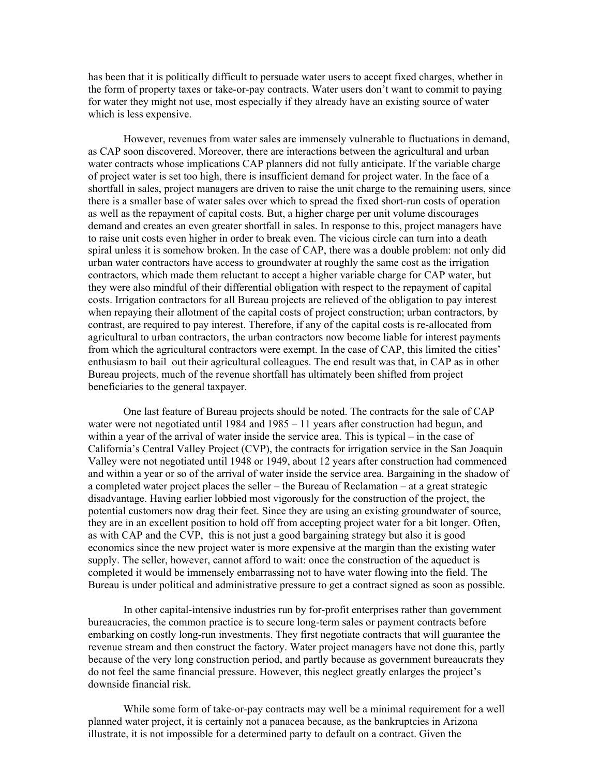has been that it is politically difficult to persuade water users to accept fixed charges, whether in the form of property taxes or take-or-pay contracts. Water users don't want to commit to paying for water they might not use, most especially if they already have an existing source of water which is less expensive.

 However, revenues from water sales are immensely vulnerable to fluctuations in demand, as CAP soon discovered. Moreover, there are interactions between the agricultural and urban water contracts whose implications CAP planners did not fully anticipate. If the variable charge of project water is set too high, there is insufficient demand for project water. In the face of a shortfall in sales, project managers are driven to raise the unit charge to the remaining users, since there is a smaller base of water sales over which to spread the fixed short-run costs of operation as well as the repayment of capital costs. But, a higher charge per unit volume discourages demand and creates an even greater shortfall in sales. In response to this, project managers have to raise unit costs even higher in order to break even. The vicious circle can turn into a death spiral unless it is somehow broken. In the case of CAP, there was a double problem: not only did urban water contractors have access to groundwater at roughly the same cost as the irrigation contractors, which made them reluctant to accept a higher variable charge for CAP water, but they were also mindful of their differential obligation with respect to the repayment of capital costs. Irrigation contractors for all Bureau projects are relieved of the obligation to pay interest when repaying their allotment of the capital costs of project construction; urban contractors, by contrast, are required to pay interest. Therefore, if any of the capital costs is re-allocated from agricultural to urban contractors, the urban contractors now become liable for interest payments from which the agricultural contractors were exempt. In the case of CAP, this limited the cities' enthusiasm to bail out their agricultural colleagues. The end result was that, in CAP as in other Bureau projects, much of the revenue shortfall has ultimately been shifted from project beneficiaries to the general taxpayer.

 One last feature of Bureau projects should be noted. The contracts for the sale of CAP water were not negotiated until 1984 and 1985 – 11 years after construction had begun, and within a year of the arrival of water inside the service area. This is typical – in the case of California's Central Valley Project (CVP), the contracts for irrigation service in the San Joaquin Valley were not negotiated until 1948 or 1949, about 12 years after construction had commenced and within a year or so of the arrival of water inside the service area. Bargaining in the shadow of a completed water project places the seller – the Bureau of Reclamation – at a great strategic disadvantage. Having earlier lobbied most vigorously for the construction of the project, the potential customers now drag their feet. Since they are using an existing groundwater of source, they are in an excellent position to hold off from accepting project water for a bit longer. Often, as with CAP and the CVP, this is not just a good bargaining strategy but also it is good economics since the new project water is more expensive at the margin than the existing water supply. The seller, however, cannot afford to wait: once the construction of the aqueduct is completed it would be immensely embarrassing not to have water flowing into the field. The Bureau is under political and administrative pressure to get a contract signed as soon as possible.

 In other capital-intensive industries run by for-profit enterprises rather than government bureaucracies, the common practice is to secure long-term sales or payment contracts before embarking on costly long-run investments. They first negotiate contracts that will guarantee the revenue stream and then construct the factory. Water project managers have not done this, partly because of the very long construction period, and partly because as government bureaucrats they do not feel the same financial pressure. However, this neglect greatly enlarges the project's downside financial risk.

 While some form of take-or-pay contracts may well be a minimal requirement for a well planned water project, it is certainly not a panacea because, as the bankruptcies in Arizona illustrate, it is not impossible for a determined party to default on a contract. Given the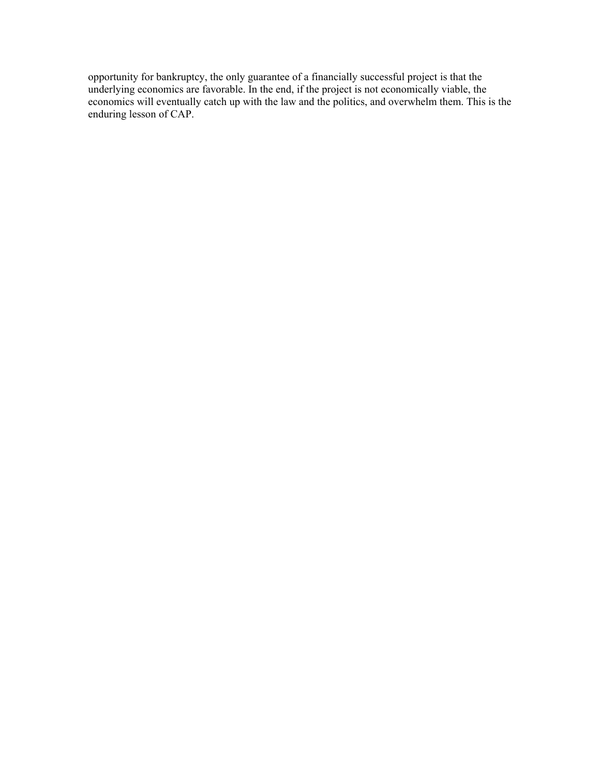opportunity for bankruptcy, the only guarantee of a financially successful project is that the underlying economics are favorable. In the end, if the project is not economically viable, the economics will eventually catch up with the law and the politics, and overwhelm them. This is the enduring lesson of CAP.